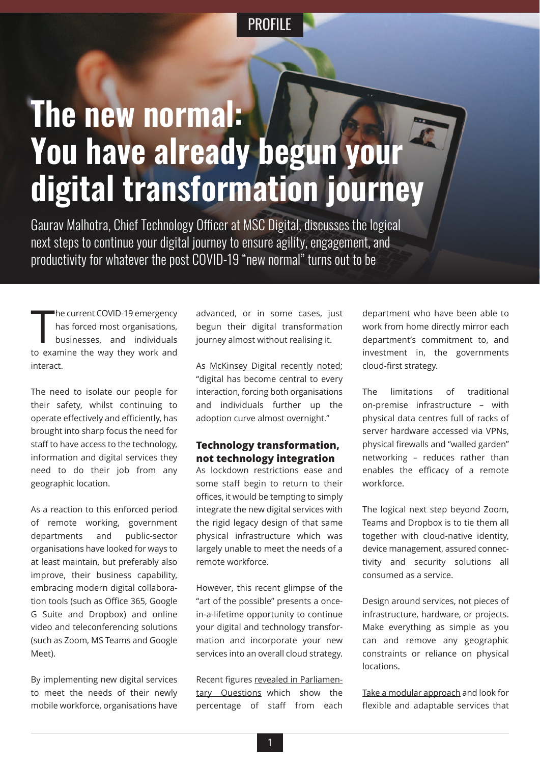# **The new normal: You have already begun your digital transformation journey**

Gaurav Malhotra, Chief Technology Officer at MSC Digital, discusses the logical next steps to continue your digital journey to ensure agility, engagement, and productivity for whatever the post COVID-19 "new normal" turns out to be

 $\prod_{i \in \mathbb{N}}$ he current COVID-19 emergency has forced most organisations, businesses, and individuals to examine the way they work and interact.

The need to isolate our people for their safety, whilst continuing to operate effectively and efficiently, has brought into sharp focus the need for staff to have access to the technology, information and digital services they need to do their job from any geographic location.

As a reaction to this enforced period of remote working, government departments and public-sector organisations have looked for ways to at least maintain, but preferably also improve, their business capability, embracing modern digital collaboration tools (such as Office 365, Google G Suite and Dropbox) and online video and teleconferencing solutions (such as Zoom, MS Teams and Google Meet).

By implementing new digital services to meet the needs of their newly mobile workforce, organisations have

advanced, or in some cases, just begun their digital transformation journey almost without realising it.

As McKinsey Digital recently noted; "digital has become central to every interaction, forcing both organisations an[d individuals further up the](http://www.mckinsey.com/business-functions/mckinsey-digital/our-insights/digital-strategy-in-a-time-of-crisis) adoption curve almost overnight."

#### **Technology transformation, not technology integration**

As lockdown restrictions ease and some staff begin to return to their offices, it would be tempting to simply integrate the new digital services with the rigid legacy design of that same physical infrastructure which was largely unable to meet the needs of a remote workforce.

However, this recent glimpse of the "art of the possible" presents a oncein-a-lifetime opportunity to continue your digital and technology transformation and incorporate your new services into an overall cloud strategy.

Recent figures revealed in Parliamentary Questions which show the percentage of staff from each department who have been able to work from home directly mirror each department's commitment to, and investment in, the governments cloud-first strategy.

The limitations of traditional on-premise infrastructure – with physical data centres full of racks of server hardware accessed via VPNs, physical firewalls and "walled garden" networking – reduces rather than enables the efficacy of a remote workforce.

The logical next step beyond Zoom, Teams and Dropbox is to tie them all together with cloud-native identity, device management, assured connectivity and security solutions all consumed as a service.

Design around services, not pieces of infrastructure, hardware, or projects. Make everything as simple as you can and remove any geographic constraints or reliance on physical **locations** 

Take a modular approach and look for flexible and adaptable services that